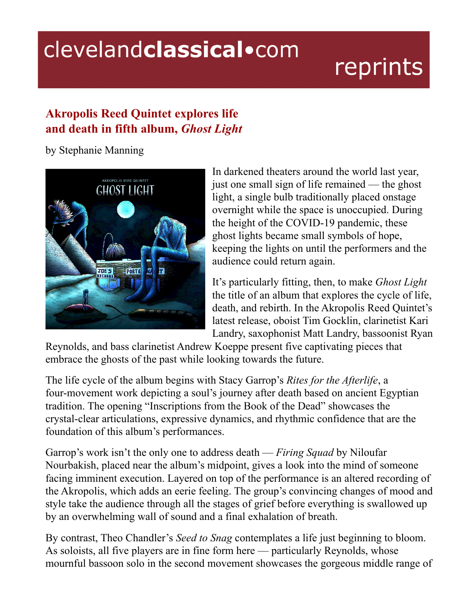## clevelandclassical.com

## reprints

## **Akropolis Reed Quintet explores life and death in fifth album,** *Ghost Light*

by Stephanie Manning



In darkened theaters around the world last year, just one small sign of life remained — the ghost light, a single bulb traditionally placed onstage overnight while the space is unoccupied. During the height of the COVID-19 pandemic, these ghost lights became small symbols of hope, keeping the lights on until the performers and the audience could return again.

It's particularly fitting, then, to make *Ghost Light* the title of an album that explores the cycle of life, death, and rebirth. In the Akropolis Reed Quintet's latest release, oboist Tim Gocklin, clarinetist Kari Landry, saxophonist Matt Landry, bassoonist Ryan

Reynolds, and bass clarinetist Andrew Koeppe present five captivating pieces that embrace the ghosts of the past while looking towards the future.

The life cycle of the album begins with Stacy Garrop's *Rites for the Afterlife*, a four-movement work depicting a soul's journey after death based on ancient Egyptian tradition. The opening "Inscriptions from the Book of the Dead" showcases the crystal-clear articulations, expressive dynamics, and rhythmic confidence that are the foundation of this album's performances.

Garrop's work isn't the only one to address death — *Firing Squad* by Niloufar Nourbakish, placed near the album's midpoint, gives a look into the mind of someone facing imminent execution. Layered on top of the performance is an altered recording of the Akropolis, which adds an eerie feeling. The group's convincing changes of mood and style take the audience through all the stages of grief before everything is swallowed up by an overwhelming wall of sound and a final exhalation of breath.

By contrast, Theo Chandler's *Seed to Snag* contemplates a life just beginning to bloom. As soloists, all five players are in fine form here — particularly Reynolds, whose mournful bassoon solo in the second movement showcases the gorgeous middle range of